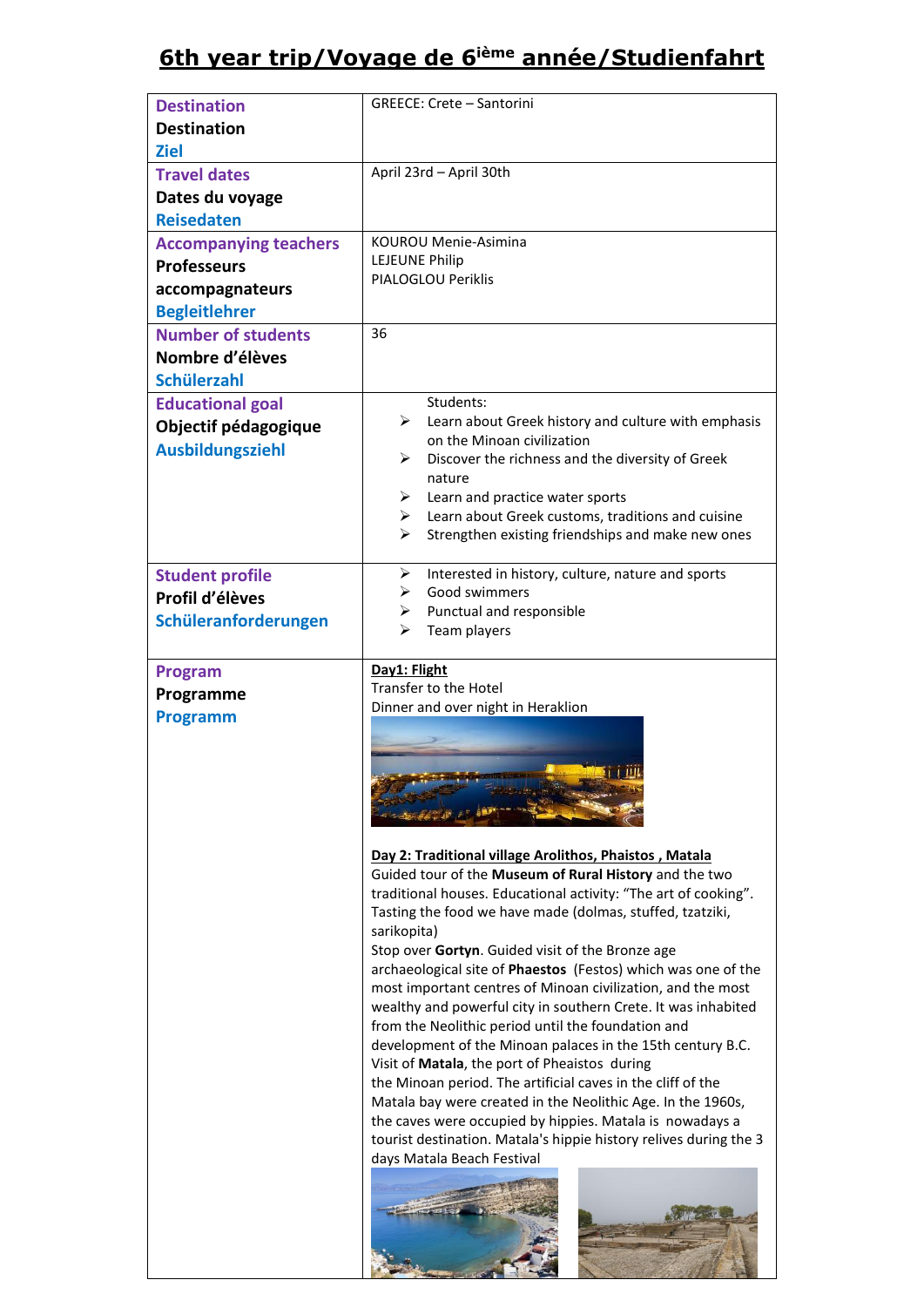# **6th year trip/Voyage de 6ième année/Studienfahrt**

| <b>Destination</b><br><b>Destination</b>        | <b>GREECE: Crete - Santorini</b>                                                                                        |
|-------------------------------------------------|-------------------------------------------------------------------------------------------------------------------------|
| <b>Ziel</b>                                     |                                                                                                                         |
| <b>Travel dates</b>                             | April 23rd - April 30th                                                                                                 |
| Dates du voyage                                 |                                                                                                                         |
| <b>Reisedaten</b>                               |                                                                                                                         |
| <b>Accompanying teachers</b>                    | <b>KOUROU Menie-Asimina</b>                                                                                             |
| <b>Professeurs</b>                              | <b>LEJEUNE Philip</b><br>PIALOGLOU Periklis                                                                             |
| accompagnateurs                                 |                                                                                                                         |
| <b>Begleitlehrer</b>                            |                                                                                                                         |
| <b>Number of students</b>                       | 36                                                                                                                      |
| Nombre d'élèves                                 |                                                                                                                         |
| <b>Schülerzahl</b>                              | Students:                                                                                                               |
| <b>Educational goal</b>                         | Learn about Greek history and culture with emphasis<br>➤                                                                |
| Objectif pédagogique<br><b>Ausbildungsziehl</b> | on the Minoan civilization                                                                                              |
|                                                 | Discover the richness and the diversity of Greek<br>➤                                                                   |
|                                                 | nature<br>$\triangleright$ Learn and practice water sports                                                              |
|                                                 | $\triangleright$ Learn about Greek customs, traditions and cuisine                                                      |
|                                                 | Strengthen existing friendships and make new ones<br>➤                                                                  |
|                                                 |                                                                                                                         |
| <b>Student profile</b>                          | Interested in history, culture, nature and sports<br>➤<br>Good swimmers<br>➤                                            |
| Profil d'élèves                                 | Punctual and responsible<br>≻                                                                                           |
| Schüleranforderungen                            | Team players<br>⋗                                                                                                       |
|                                                 |                                                                                                                         |
| Program                                         | Day1: Flight<br>Transfer to the Hotel                                                                                   |
| Programme                                       | Dinner and over night in Heraklion                                                                                      |
| <b>Programm</b>                                 |                                                                                                                         |
|                                                 |                                                                                                                         |
|                                                 |                                                                                                                         |
|                                                 |                                                                                                                         |
|                                                 |                                                                                                                         |
|                                                 | Day 2: Traditional village Arolithos, Phaistos, Matala                                                                  |
|                                                 | Guided tour of the Museum of Rural History and the two                                                                  |
|                                                 | traditional houses. Educational activity: "The art of cooking".                                                         |
|                                                 | Tasting the food we have made (dolmas, stuffed, tzatziki,<br>sarikopita)                                                |
|                                                 | Stop over Gortyn. Guided visit of the Bronze age                                                                        |
|                                                 | archaeological site of Phaestos (Festos) which was one of the                                                           |
|                                                 | most important centres of Minoan civilization, and the most                                                             |
|                                                 | wealthy and powerful city in southern Crete. It was inhabited<br>from the Neolithic period until the foundation and     |
|                                                 | development of the Minoan palaces in the 15th century B.C.                                                              |
|                                                 | Visit of <b>Matala</b> , the port of Pheaistos during                                                                   |
|                                                 | the Minoan period. The artificial caves in the cliff of the                                                             |
|                                                 | Matala bay were created in the Neolithic Age. In the 1960s,<br>the caves were occupied by hippies. Matala is nowadays a |
|                                                 | tourist destination. Matala's hippie history relives during the 3                                                       |
|                                                 | days Matala Beach Festival                                                                                              |
|                                                 |                                                                                                                         |
|                                                 |                                                                                                                         |
|                                                 |                                                                                                                         |
|                                                 |                                                                                                                         |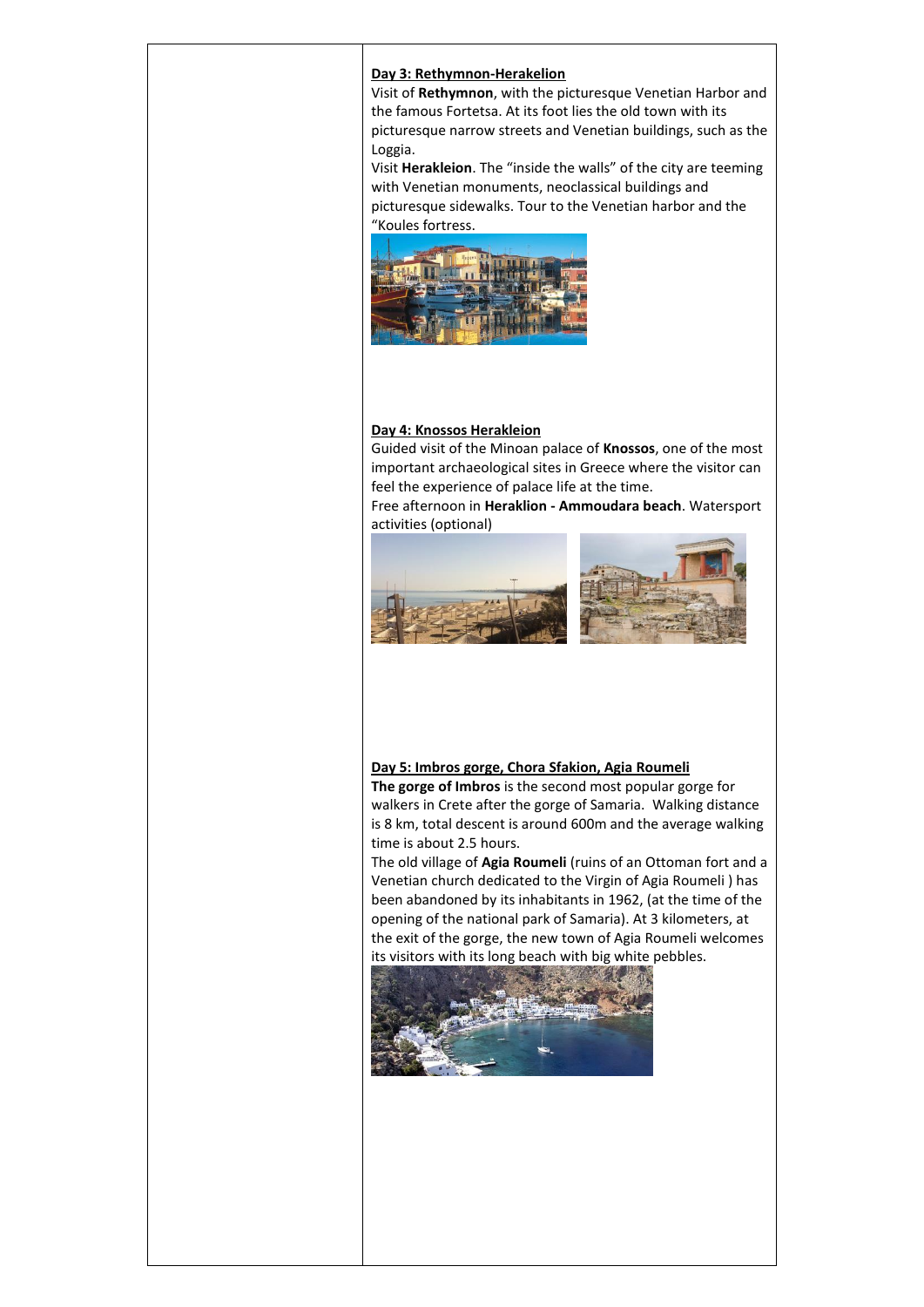### **Day 3: Rethymnon-Herakelion**

Visit of **Rethymnon**, with the picturesque Venetian Harbor and the famous Fortetsa. At its foot lies the old town with its picturesque narrow streets and Venetian buildings, such as the Loggia.

Visit **Herakleion**. The "inside the walls" of the city are teeming with Venetian monuments, neoclassical buildings and picturesque sidewalks. Tour to the Venetian harbor and the "Koules fortress.



### **Day 4: Knossos Herakleion**

Guided visit of the Minoan palace of **Knossos**, one of the most important archaeological sites in Greece where the visitor can feel the experience of palace life at the time.

Free afternoon in **Heraklion - Ammoudara beach**. Watersport activities (optional)



# **Day 5: Imbros gorge, Chora Sfakion, Agia Roumeli The gorge of Imbros** is the second most popular gorge for

walkers in Crete after the gorge of Samaria. Walking distance is 8 km, total descent is around 600m and the average walking time is about 2.5 hours.

The old village of **Agia Roumeli** (ruins of an Ottoman fort and a Venetian church dedicated to the Virgin of Agia Roumeli ) has been abandoned by its inhabitants in 1962, (at the time of the opening of the national park of Samaria). At 3 kilometers, at the exit of the gorge, the new town of Agia Roumeli welcomes its visitors with its long beach with big white pebbles.

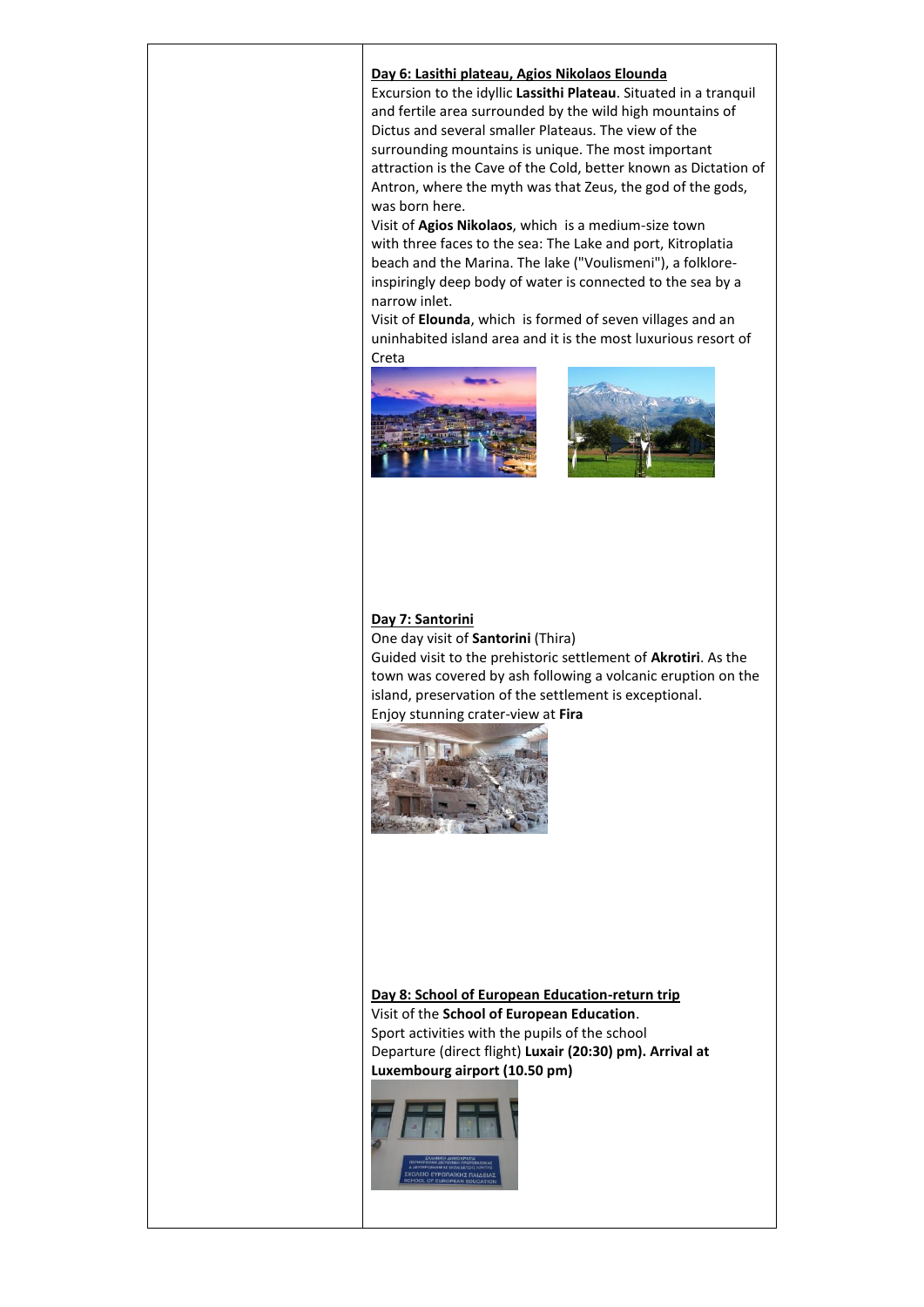### **Day 6: Lasithi plateau, Agios Nikolaos Elounda**

Excursion to the idyllic **Lassithi Plateau**. Situated in a tranquil and fertile area surrounded by the wild high mountains of Dictus and several smaller Plateaus. The view of the surrounding mountains is unique. The most important attraction is the Cave of the Cold, better known as Dictation of Antron, where the myth was that Zeus, the god of the gods, was born here.

Visit of **Agios Nikolaos**, which is a medium-size town with three faces to the sea: The Lake and port, Kitroplatia beach and the Marina. The lake ("Voulismeni"), a folkloreinspiringly deep body of water is connected to the sea by a narrow inlet.

Visit of **Elounda**, which is formed of seven villages and an uninhabited island area and it is the most luxurious resort of Creta





### **Day 7: Santorini**

One day visit of **Santorini** (Thira) Guided visit to the prehistoric settlement of **Akrotiri**. As the town was covered by ash following a volcanic eruption on the island, preservation of the settlement is exceptional. Enjoy stunning crater-view at **Fira**



## **Day 8: School of European Education-return trip** Visit of the **School of European Education**. Sport activities with the pupils of the school Departure (direct flight) **Luxair (20:30) pm). Arrival at Luxembourg airport (10.50 pm)**